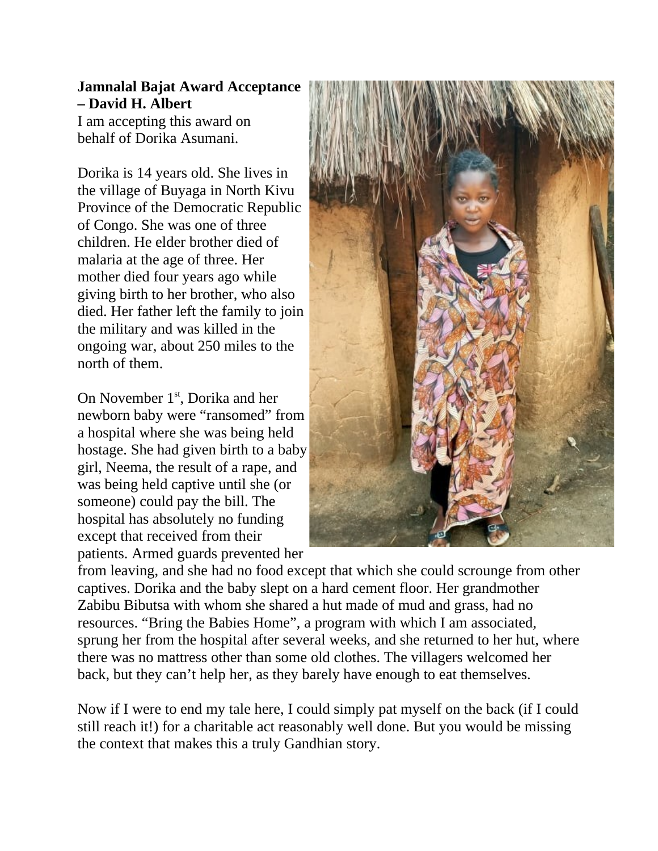## **Jamnalal Bajat Award Acceptance – David H. Albert**

I am accepting this award on behalf of Dorika Asumani.

Dorika is 14 years old. She lives in the village of Buyaga in North Kivu Province of the Democratic Republic of Congo. She was one of three children. He elder brother died of malaria at the age of three. Her mother died four years ago while giving birth to her brother, who also died. Her father left the family to join the military and was killed in the ongoing war, about 250 miles to the north of them.

On November 1<sup>st</sup>, Dorika and her newborn baby were "ransomed" from a hospital where she was being held hostage. She had given birth to a baby girl, Neema, the result of a rape, and was being held captive until she (or someone) could pay the bill. The hospital has absolutely no funding except that received from their patients. Armed guards prevented her



from leaving, and she had no food except that which she could scrounge from other captives. Dorika and the baby slept on a hard cement floor. Her grandmother Zabibu Bibutsa with whom she shared a hut made of mud and grass, had no resources. "Bring the Babies Home", a program with which I am associated, sprung her from the hospital after several weeks, and she returned to her hut, where there was no mattress other than some old clothes. The villagers welcomed her back, but they can't help her, as they barely have enough to eat themselves.

Now if I were to end my tale here, I could simply pat myself on the back (if I could still reach it!) for a charitable act reasonably well done. But you would be missing the context that makes this a truly Gandhian story.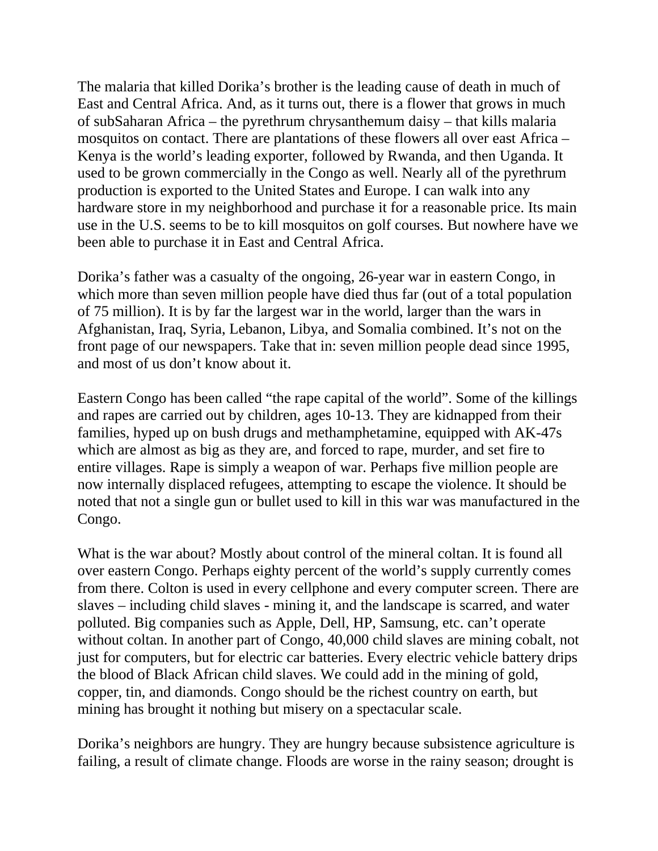The malaria that killed Dorika's brother is the leading cause of death in much of East and Central Africa. And, as it turns out, there is a flower that grows in much of subSaharan Africa – the pyrethrum chrysanthemum daisy – that kills malaria mosquitos on contact. There are plantations of these flowers all over east Africa – Kenya is the world's leading exporter, followed by Rwanda, and then Uganda. It used to be grown commercially in the Congo as well. Nearly all of the pyrethrum production is exported to the United States and Europe. I can walk into any hardware store in my neighborhood and purchase it for a reasonable price. Its main use in the U.S. seems to be to kill mosquitos on golf courses. But nowhere have we been able to purchase it in East and Central Africa.

Dorika's father was a casualty of the ongoing, 26-year war in eastern Congo, in which more than seven million people have died thus far (out of a total population of 75 million). It is by far the largest war in the world, larger than the wars in Afghanistan, Iraq, Syria, Lebanon, Libya, and Somalia combined. It's not on the front page of our newspapers. Take that in: seven million people dead since 1995, and most of us don't know about it.

Eastern Congo has been called "the rape capital of the world". Some of the killings and rapes are carried out by children, ages 10-13. They are kidnapped from their families, hyped up on bush drugs and methamphetamine, equipped with AK-47s which are almost as big as they are, and forced to rape, murder, and set fire to entire villages. Rape is simply a weapon of war. Perhaps five million people are now internally displaced refugees, attempting to escape the violence. It should be noted that not a single gun or bullet used to kill in this war was manufactured in the Congo.

What is the war about? Mostly about control of the mineral coltan. It is found all over eastern Congo. Perhaps eighty percent of the world's supply currently comes from there. Colton is used in every cellphone and every computer screen. There are slaves – including child slaves - mining it, and the landscape is scarred, and water polluted. Big companies such as Apple, Dell, HP, Samsung, etc. can't operate without coltan. In another part of Congo, 40,000 child slaves are mining cobalt, not just for computers, but for electric car batteries. Every electric vehicle battery drips the blood of Black African child slaves. We could add in the mining of gold, copper, tin, and diamonds. Congo should be the richest country on earth, but mining has brought it nothing but misery on a spectacular scale.

Dorika's neighbors are hungry. They are hungry because subsistence agriculture is failing, a result of climate change. Floods are worse in the rainy season; drought is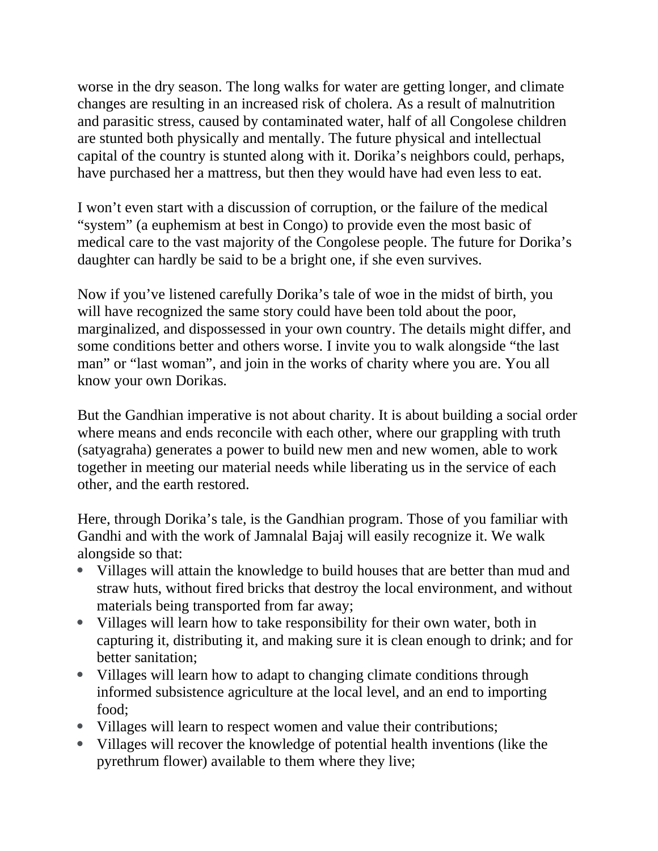worse in the dry season. The long walks for water are getting longer, and climate changes are resulting in an increased risk of cholera. As a result of malnutrition and parasitic stress, caused by contaminated water, half of all Congolese children are stunted both physically and mentally. The future physical and intellectual capital of the country is stunted along with it. Dorika's neighbors could, perhaps, have purchased her a mattress, but then they would have had even less to eat.

I won't even start with a discussion of corruption, or the failure of the medical "system" (a euphemism at best in Congo) to provide even the most basic of medical care to the vast majority of the Congolese people. The future for Dorika's daughter can hardly be said to be a bright one, if she even survives.

Now if you've listened carefully Dorika's tale of woe in the midst of birth, you will have recognized the same story could have been told about the poor, marginalized, and dispossessed in your own country. The details might differ, and some conditions better and others worse. I invite you to walk alongside "the last man" or "last woman", and join in the works of charity where you are. You all know your own Dorikas.

But the Gandhian imperative is not about charity. It is about building a social order where means and ends reconcile with each other, where our grappling with truth (satyagraha) generates a power to build new men and new women, able to work together in meeting our material needs while liberating us in the service of each other, and the earth restored.

Here, through Dorika's tale, is the Gandhian program. Those of you familiar with Gandhi and with the work of Jamnalal Bajaj will easily recognize it. We walk alongside so that:

- Villages will attain the knowledge to build houses that are better than mud and straw huts, without fired bricks that destroy the local environment, and without materials being transported from far away;
- Villages will learn how to take responsibility for their own water, both in capturing it, distributing it, and making sure it is clean enough to drink; and for better sanitation;
- Villages will learn how to adapt to changing climate conditions through informed subsistence agriculture at the local level, and an end to importing food;
- Villages will learn to respect women and value their contributions;
- Villages will recover the knowledge of potential health inventions (like the pyrethrum flower) available to them where they live;